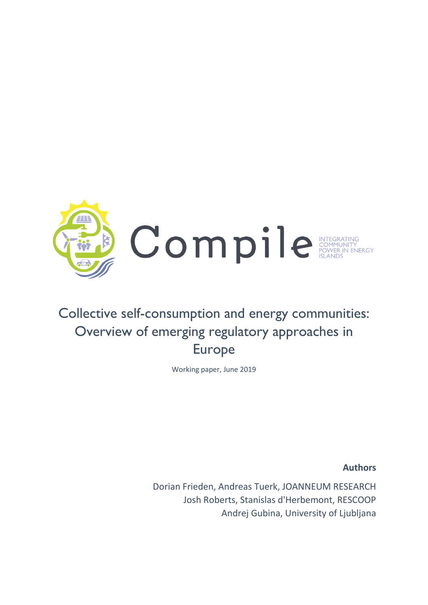

# Collective self-consumption and energy communities: Overview of emerging regulatory approaches in Europe

Working paper, June 2019

**Authors**

Dorian Frieden, Andreas Tuerk, JOANNEUM RESEARCH Josh Roberts, Stanislas d'Herbemont, RESCOOP Andrej Gubina, University of Ljubljana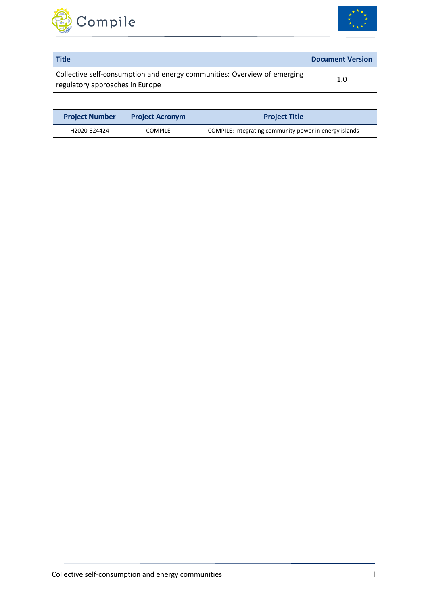



| <b>Title</b>                                                                                                | <b>Document Version</b> |
|-------------------------------------------------------------------------------------------------------------|-------------------------|
| Collective self-consumption and energy communities: Overview of emerging<br>regulatory approaches in Europe | 1.0                     |

| <b>Project Number</b><br><b>Project Acronym</b> |                | <b>Project Title</b>                                   |  |  |  |
|-------------------------------------------------|----------------|--------------------------------------------------------|--|--|--|
| H2020-824424                                    | <b>COMPILE</b> | COMPILE: Integrating community power in energy islands |  |  |  |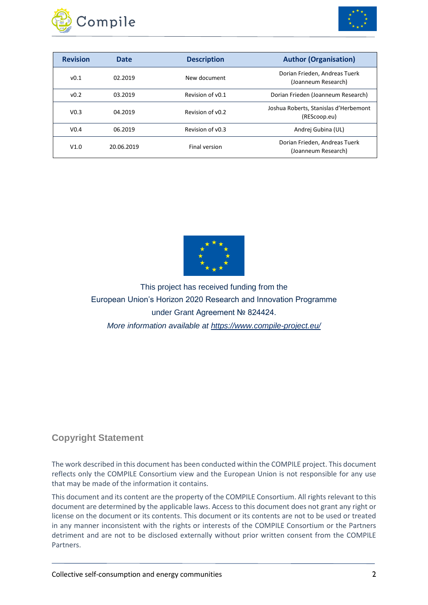



| <b>Revision</b>  | Date       | <b>Description</b> | <b>Author (Organisation)</b>                          |
|------------------|------------|--------------------|-------------------------------------------------------|
| v0.1             | 02.2019    | New document       | Dorian Frieden, Andreas Tuerk<br>(Joanneum Research)  |
| v <sub>0.2</sub> | 03.2019    | Revision of v0.1   | Dorian Frieden (Joanneum Research)                    |
| V <sub>0.3</sub> | 04.2019    | Revision of v0.2   | Joshua Roberts, Stanislas d'Herbemont<br>(REScoop.eu) |
| V <sub>0.4</sub> | 06.2019    | Revision of v0.3   | Andrej Gubina (UL)                                    |
| V1.0             | 20.06.2019 | Final version      | Dorian Frieden, Andreas Tuerk<br>(Joanneum Research)  |



This project has received funding from the European Union's Horizon 2020 Research and Innovation Programme under Grant Agreement № 824424. *More information available at https://www.compile-project.eu/*

#### **Copyright Statement**

The work described in this document has been conducted within the COMPILE project. This document reflects only the COMPILE Consortium view and the European Union is not responsible for any use that may be made of the information it contains.

This document and its content are the property of the COMPILE Consortium. All rights relevant to this document are determined by the applicable laws. Access to this document does not grant any right or license on the document or its contents. This document or its contents are not to be used or treated in any manner inconsistent with the rights or interests of the COMPILE Consortium or the Partners detriment and are not to be disclosed externally without prior written consent from the COMPILE Partners.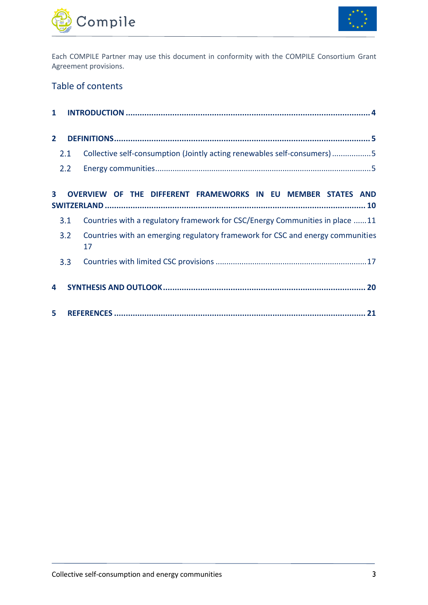



Each COMPILE Partner may use this document in conformity with the COMPILE Consortium Grant Agreement provisions.

### Table of contents

| $\mathbf{1}$ |     |                                                                                      |
|--------------|-----|--------------------------------------------------------------------------------------|
| $\mathbf{2}$ |     |                                                                                      |
|              | 2.1 | Collective self-consumption (Jointly acting renewables self-consumers)5              |
|              | 2.2 |                                                                                      |
| 3            |     | OVERVIEW OF THE DIFFERENT FRAMEWORKS IN EU MEMBER STATES AND                         |
|              | 3.1 | Countries with a regulatory framework for CSC/Energy Communities in place 11         |
|              | 3.2 | Countries with an emerging regulatory framework for CSC and energy communities<br>17 |
|              | 3.3 |                                                                                      |
| 4            |     |                                                                                      |
| 5.           |     |                                                                                      |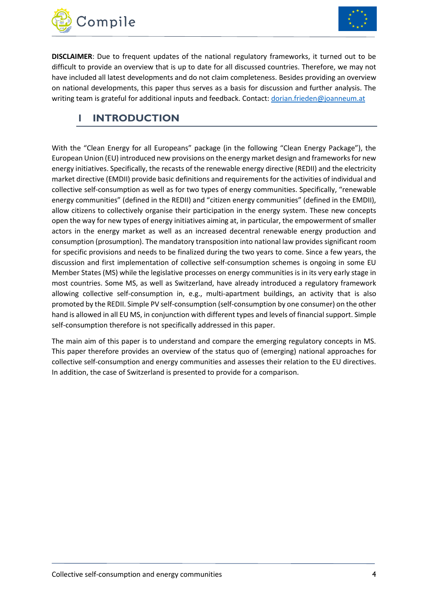



**DISCLAIMER**: Due to frequent updates of the national regulatory frameworks, it turned out to be difficult to provide an overview that is up to date for all discussed countries. Therefore, we may not have included all latest developments and do not claim completeness. Besides providing an overview on national developments, this paper thus serves as a basis for discussion and further analysis. The writing team is grateful for additional inputs and feedback. Contact: [dorian.frieden@joanneum.at](mailto:dorian.frieden@joanneum.at)

### <span id="page-4-0"></span>**1 INTRODUCTION**

With the "Clean Energy for all Europeans" package (in the following "Clean Energy Package"), the European Union (EU) introduced new provisions on the energy market design and frameworks for new energy initiatives. Specifically, the recasts of the renewable energy directive (REDII) and the electricity market directive (EMDII) provide basic definitions and requirements for the activities of individual and collective self-consumption as well as for two types of energy communities. Specifically, "renewable energy communities" (defined in the REDII) and "citizen energy communities" (defined in the EMDII), allow citizens to collectively organise their participation in the energy system. These new concepts open the way for new types of energy initiatives aiming at, in particular, the empowerment of smaller actors in the energy market as well as an increased decentral renewable energy production and consumption (prosumption). The mandatory transposition into national law provides significant room for specific provisions and needs to be finalized during the two years to come. Since a few years, the discussion and first implementation of collective self-consumption schemes is ongoing in some EU Member States (MS) while the legislative processes on energy communities is in its very early stage in most countries. Some MS, as well as Switzerland, have already introduced a regulatory framework allowing collective self-consumption in, e.g., multi-apartment buildings, an activity that is also promoted by the REDII. Simple PV self-consumption (self-consumption by one consumer) on the other hand is allowed in all EU MS, in conjunction with different types and levels of financial support. Simple self-consumption therefore is not specifically addressed in this paper.

The main aim of this paper is to understand and compare the emerging regulatory concepts in MS. This paper therefore provides an overview of the status quo of (emerging) national approaches for collective self-consumption and energy communities and assesses their relation to the EU directives. In addition, the case of Switzerland is presented to provide for a comparison.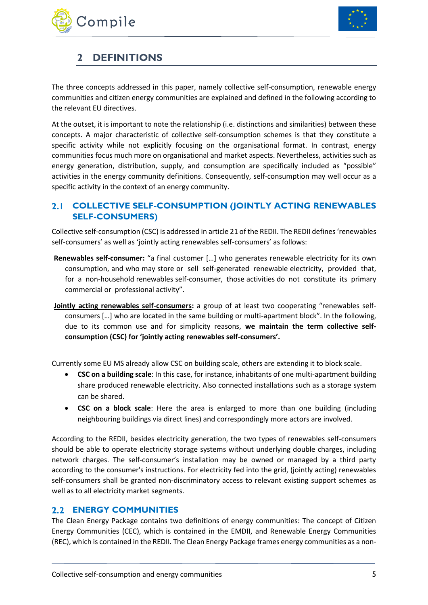



# <span id="page-5-0"></span>**2 DEFINITIONS**

The three concepts addressed in this paper, namely collective self-consumption, renewable energy communities and citizen energy communities are explained and defined in the following according to the relevant EU directives.

At the outset, it is important to note the relationship (i.e. distinctions and similarities) between these concepts. A major characteristic of collective self-consumption schemes is that they constitute a specific activity while not explicitly focusing on the organisational format. In contrast, energy communities focus much more on organisational and market aspects. Nevertheless, activities such as energy generation, distribution, supply, and consumption are specifically included as "possible" activities in the energy community definitions. Consequently, self-consumption may well occur as a specific activity in the context of an energy community.

#### <span id="page-5-1"></span> $2.1$ **COLLECTIVE SELF-CONSUMPTION (JOINTLY ACTING RENEWABLES SELF-CONSUMERS)**

Collective self-consumption (CSC) is addressed in article 21 of the REDII. The REDII defines 'renewables self-consumers' as well as 'jointly acting renewables self-consumers' as follows:

- **Renewables self-consumer:** "a final customer […] who generates renewable electricity for its own consumption, and who may store or sell self-generated renewable electricity, provided that, for a non-household renewables self-consumer, those activities do not constitute its primary commercial or professional activity".
- **Jointly acting renewables self-consumers:** a group of at least two cooperating "renewables selfconsumers […] who are located in the same building or multi-apartment block". In the following, due to its common use and for simplicity reasons, **we maintain the term collective selfconsumption (CSC) for 'jointly acting renewables self-consumers'.**

Currently some EU MS already allow CSC on building scale, others are extending it to block scale.

- **CSC on a building scale**: In this case, for instance, inhabitants of one multi-apartment building share produced renewable electricity. Also connected installations such as a storage system can be shared.
- **CSC on a block scale**: Here the area is enlarged to more than one building (including neighbouring buildings via direct lines) and correspondingly more actors are involved.

According to the REDII, besides electricity generation, the two types of renewables self-consumers should be able to operate electricity storage systems without underlying double charges, including network charges. The self-consumer's installation may be owned or managed by a third party according to the consumer's instructions. For electricity fed into the grid, (jointly acting) renewables self-consumers shall be granted non-discriminatory access to relevant existing support schemes as well as to all electricity market segments.

#### <span id="page-5-2"></span>**ENERGY COMMUNITIES**

The Clean Energy Package contains two definitions of energy communities: The concept of Citizen Energy Communities (CEC), which is contained in the EMDII, and Renewable Energy Communities (REC), which is contained in the REDII. The Clean Energy Package frames energy communities as a non-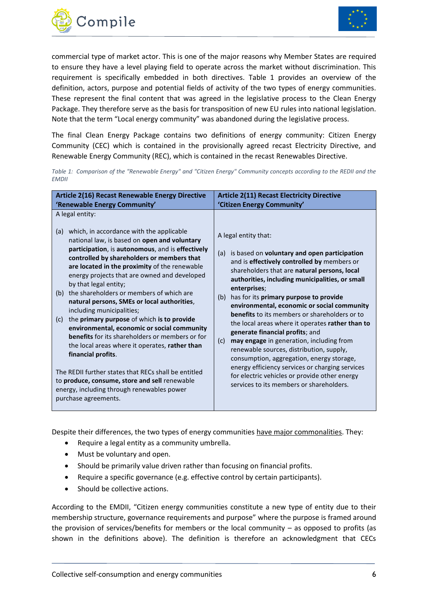



commercial type of market actor. This is one of the major reasons why Member States are required to ensure they have a level playing field to operate across the market without discrimination. This requirement is specifically embedded in both directives. [Table](#page-6-0) 1 provides an overview of the definition, actors, purpose and potential fields of activity of the two types of energy communities. These represent the final content that was agreed in the legislative process to the Clean Energy Package. They therefore serve as the basis for transposition of new EU rules into national legislation. Note that the term "Local energy community" was abandoned during the legislative process.

The final Clean Energy Package contains two definitions of energy community: Citizen Energy Community (CEC) which is contained in the provisionally agreed recast Electricity Directive, and Renewable Energy Community (REC), which is contained in the recast Renewables Directive.

<span id="page-6-0"></span>*Table 1: Comparison of the "Renewable Energy" and "Citizen Energy" Community concepts according to the REDII and the EMDII*

| <b>Article 2(16) Recast Renewable Energy Directive</b>                                                                                                                                                                                                                                                                                                                                                                                                                                                                                                                                                                                                                                                                                                                                                                                                                                                                             | <b>Article 2(11) Recast Electricity Directive</b><br>'Citizen Energy Community'                                                                                                                                                                                                                                                                                                                                                                                                                                                                                                                                                                                                                                                                                                          |  |  |  |
|------------------------------------------------------------------------------------------------------------------------------------------------------------------------------------------------------------------------------------------------------------------------------------------------------------------------------------------------------------------------------------------------------------------------------------------------------------------------------------------------------------------------------------------------------------------------------------------------------------------------------------------------------------------------------------------------------------------------------------------------------------------------------------------------------------------------------------------------------------------------------------------------------------------------------------|------------------------------------------------------------------------------------------------------------------------------------------------------------------------------------------------------------------------------------------------------------------------------------------------------------------------------------------------------------------------------------------------------------------------------------------------------------------------------------------------------------------------------------------------------------------------------------------------------------------------------------------------------------------------------------------------------------------------------------------------------------------------------------------|--|--|--|
| 'Renewable Energy Community'<br>A legal entity:<br>which, in accordance with the applicable<br>(a)<br>national law, is based on open and voluntary<br>participation, is autonomous, and is effectively<br>controlled by shareholders or members that<br>are located in the proximity of the renewable<br>energy projects that are owned and developed<br>by that legal entity;<br>the shareholders or members of which are<br>(b)<br>natural persons, SMEs or local authorities,<br>including municipalities;<br>the primary purpose of which is to provide<br>(c)<br>environmental, economic or social community<br><b>benefits</b> for its shareholders or members or for<br>the local areas where it operates, rather than<br>financial profits.<br>The REDII further states that RECs shall be entitled<br>to produce, consume, store and sell renewable<br>energy, including through renewables power<br>purchase agreements. | A legal entity that:<br>is based on voluntary and open participation<br>(a)<br>and is effectively controlled by members or<br>shareholders that are natural persons, local<br>authorities, including municipalities, or small<br>enterprises;<br>has for its primary purpose to provide<br>(b)<br>environmental, economic or social community<br><b>benefits</b> to its members or shareholders or to<br>the local areas where it operates rather than to<br>generate financial profits; and<br>may engage in generation, including from<br>(c)<br>renewable sources, distribution, supply,<br>consumption, aggregation, energy storage,<br>energy efficiency services or charging services<br>for electric vehicles or provide other energy<br>services to its members or shareholders. |  |  |  |

Despite their differences, the two types of energy communities have major commonalities. They:

- Require a legal entity as a community umbrella.
- Must be voluntary and open.
- Should be primarily value driven rather than focusing on financial profits.
- Require a specific governance (e.g. effective control by certain participants).
- Should be collective actions.

According to the EMDII, "Citizen energy communities constitute a new type of entity due to their membership structure, governance requirements and purpose" where the purpose is framed around the provision of services/benefits for members or the local community – as opposed to profits (as shown in the definitions above). The definition is therefore an acknowledgment that CECs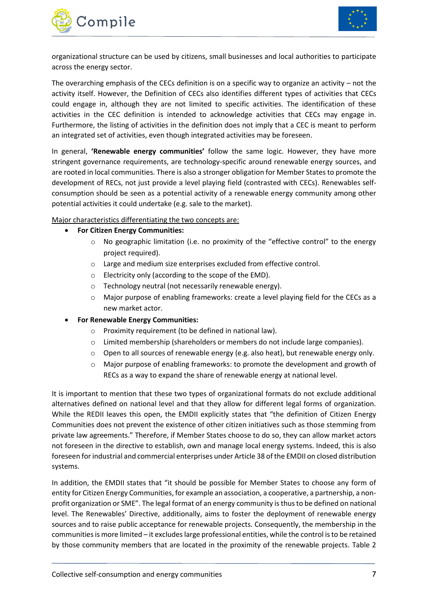



organizational structure can be used by citizens, small businesses and local authorities to participate across the energy sector.

The overarching emphasis of the CECs definition is on a specific way to organize an activity – not the activity itself. However, the Definition of CECs also identifies different types of activities that CECs could engage in, although they are not limited to specific activities. The identification of these activities in the CEC definition is intended to acknowledge activities that CECs may engage in. Furthermore, the listing of activities in the definition does not imply that a CEC is meant to perform an integrated set of activities, even though integrated activities may be foreseen.

In general, **'Renewable energy communities'** follow the same logic. However, they have more stringent governance requirements, are technology-specific around renewable energy sources, and are rooted in local communities. There is also a stronger obligation for Member States to promote the development of RECs, not just provide a level playing field (contrasted with CECs). Renewables selfconsumption should be seen as a potential activity of a renewable energy community among other potential activities it could undertake (e.g. sale to the market).

Major characteristics differentiating the two concepts are:

- **For Citizen Energy Communities:**
	- $\circ$  No geographic limitation (i.e. no proximity of the "effective control" to the energy project required).
	- o Large and medium size enterprises excluded from effective control.
	- o Electricity only (according to the scope of the EMD).
	- o Technology neutral (not necessarily renewable energy).
	- o Major purpose of enabling frameworks: create a level playing field for the CECs as a new market actor.
- **For Renewable Energy Communities:**
	- o Proximity requirement (to be defined in national law).
	- o Limited membership (shareholders or members do not include large companies).
	- $\circ$  Open to all sources of renewable energy (e.g. also heat), but renewable energy only.
	- o Major purpose of enabling frameworks: to promote the development and growth of RECs as a way to expand the share of renewable energy at national level.

It is important to mention that these two types of organizational formats do not exclude additional alternatives defined on national level and that they allow for different legal forms of organization. While the REDII leaves this open, the EMDII explicitly states that "the definition of Citizen Energy Communities does not prevent the existence of other citizen initiatives such as those stemming from private law agreements." Therefore, if Member States choose to do so, they can allow market actors not foreseen in the directive to establish, own and manage local energy systems. Indeed, this is also foreseen for industrial and commercial enterprises under Article 38 of the EMDII on closed distribution systems.

In addition, the EMDII states that "it should be possible for Member States to choose any form of entity for Citizen Energy Communities, for example an association, a cooperative, a partnership, a nonprofit organization or SME". The legal format of an energy community is thus to be defined on national level. The Renewables' Directive, additionally, aims to foster the deployment of renewable energy sources and to raise public acceptance for renewable projects. Consequently, the membership in the communities is more limited – it excludes large professional entities, while the control is to be retained by those community members that are located in the proximity of the renewable projects. [Table 2](#page-9-0)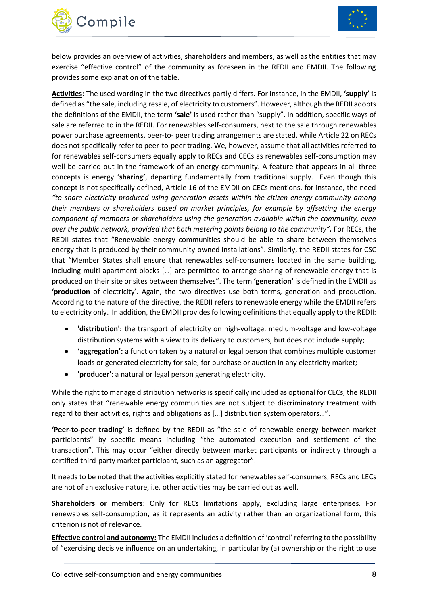



below provides an overview of activities, shareholders and members, as well as the entities that may exercise "effective control" of the community as foreseen in the REDII and EMDII. The following provides some explanation of the table.

**Activities**: The used wording in the two directives partly differs. For instance, in the EMDII, **'supply'** is defined as "the sale, including resale, of electricity to customers". However, although the REDII adopts the definitions of the EMDII, the term **'sale'** is used rather than "supply". In addition, specific ways of sale are referred to in the REDII. For renewables self-consumers, next to the sale through renewables power purchase agreements, peer-to- peer trading arrangements are stated, while Article 22 on RECs does not specifically refer to peer-to-peer trading. We, however, assume that all activities referred to for renewables self-consumers equally apply to RECs and CECs as renewables self-consumption may well be carried out in the framework of an energy community. A feature that appears in all three concepts is energy '**sharing'**, departing fundamentally from traditional supply. Even though this concept is not specifically defined, Article 16 of the EMDII on CECs mentions, for instance, the need *"to share electricity produced using generation assets within the citizen energy community among their members or shareholders based on market principles, for example by offsetting the energy component of members or shareholders using the generation available within the community, even over the public network, provided that both metering points belong to the community".* For RECs, the REDII states that "Renewable energy communities should be able to share between themselves energy that is produced by their community-owned installations". Similarly, the REDII states for CSC that "Member States shall ensure that renewables self-consumers located in the same building, including multi-apartment blocks […] are permitted to arrange sharing of renewable energy that is produced on their site or sites between themselves". The term **'generation'** is defined in the EMDII as **'production** of electricity'. Again, the two directives use both terms, generation and production. According to the nature of the directive, the REDII refers to renewable energy while the EMDII refers to electricity only. In addition, the EMDII provides following definitions that equally apply to the REDII:

- **'distribution':** the transport of electricity on high-voltage, medium-voltage and low-voltage distribution systems with a view to its delivery to customers, but does not include supply;
- **'aggregation':** a function taken by a natural or legal person that combines multiple customer loads or generated electricity for sale, for purchase or auction in any electricity market;
- **'producer':** a natural or legal person generating electricity.

While the right to manage distribution networks is specifically included as optional for CECs, the REDII only states that "renewable energy communities are not subject to discriminatory treatment with regard to their activities, rights and obligations as […] distribution system operators…".

**'Peer-to-peer trading'** is defined by the REDII as "the sale of renewable energy between market participants" by specific means including "the automated execution and settlement of the transaction". This may occur "either directly between market participants or indirectly through a certified third-party market participant, such as an aggregator".

It needs to be noted that the activities explicitly stated for renewables self-consumers, RECs and LECs are not of an exclusive nature, i.e. other activities may be carried out as well.

**Shareholders or members**: Only for RECs limitations apply, excluding large enterprises. For renewables self-consumption, as it represents an activity rather than an organizational form, this criterion is not of relevance.

**Effective control and autonomy:** The EMDII includes a definition of 'control' referring to the possibility of "exercising decisive influence on an undertaking, in particular by (a) ownership or the right to use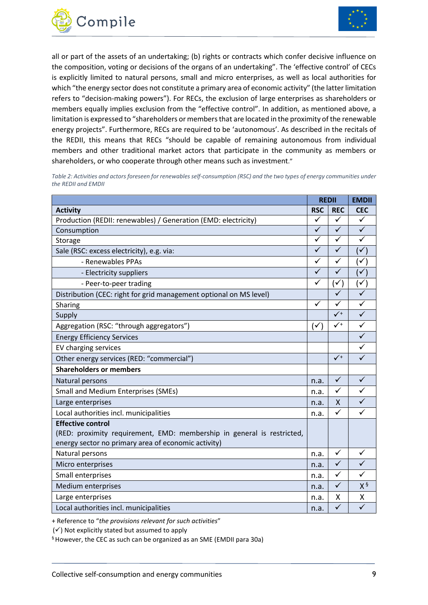



all or part of the assets of an undertaking; (b) rights or contracts which confer decisive influence on the composition, voting or decisions of the organs of an undertaking". The 'effective control' of CECs is explicitly limited to natural persons, small and micro enterprises, as well as local authorities for which "the energy sector does not constitute a primary area of economic activity" (the latter limitation refers to "decision-making powers"). For RECs, the exclusion of large enterprises as shareholders or members equally implies exclusion from the "effective control". In addition, as mentioned above, a limitation is expressed to "shareholders or members that are located in the proximity of the renewable energy projects". Furthermore, RECs are required to be 'autonomous'. As described in the recitals of the REDII, this means that RECs "should be capable of remaining autonomous from individual members and other traditional market actors that participate in the community as members or shareholders, or who cooperate through other means such as investment."

<span id="page-9-0"></span>*Table 2: Activities and actors foreseen for renewables self-consumption (RSC) and the two types of energy communities under the REDII and EMDII*

|                                                                        | <b>REDII</b> |                | <b>EMDII</b> |
|------------------------------------------------------------------------|--------------|----------------|--------------|
| <b>Activity</b>                                                        | <b>RSC</b>   | <b>REC</b>     | <b>CEC</b>   |
| Production (REDII: renewables) / Generation (EMD: electricity)         | ✓            | $\checkmark$   | ✓            |
| Consumption                                                            | $\checkmark$ | $\checkmark$   | $\checkmark$ |
| Storage                                                                | $\checkmark$ | $\checkmark$   | ✓            |
| Sale (RSC: excess electricity), e.g. via:                              | $\checkmark$ | $\checkmark$   | ✓            |
| - Renewables PPAs                                                      | ✓            | ✓              |              |
| - Electricity suppliers                                                | ✓            | ✓              |              |
| - Peer-to-peer trading                                                 | $\checkmark$ | $\checkmark$   |              |
| Distribution (CEC: right for grid management optional on MS level)     |              |                |              |
| Sharing                                                                | ✓            | ✓              | ✓            |
| Supply                                                                 |              | $\sqrt{1}$     | $\checkmark$ |
| Aggregation (RSC: "through aggregators")                               | (✓           | $\checkmark^+$ | ✓            |
| <b>Energy Efficiency Services</b>                                      |              |                | $\checkmark$ |
| EV charging services                                                   |              |                | ✓            |
| Other energy services (RED: "commercial")                              |              | $\checkmark$   | $\checkmark$ |
| <b>Shareholders or members</b>                                         |              |                |              |
| Natural persons                                                        | n.a.         | $\checkmark$   | ✓            |
| <b>Small and Medium Enterprises (SMEs)</b>                             | n.a.         | $\checkmark$   | $\checkmark$ |
| Large enterprises                                                      | n.a.         | X              | $\checkmark$ |
| Local authorities incl. municipalities                                 | n.a.         | $\checkmark$   | ✓            |
| <b>Effective control</b>                                               |              |                |              |
| (RED: proximity requirement, EMD: membership in general is restricted, |              |                |              |
| energy sector no primary area of economic activity)                    |              |                |              |
| Natural persons                                                        | n.a.         | $\checkmark$   | ✓            |
| Micro enterprises                                                      | n.a.         | $\checkmark$   | ✓            |
| Small enterprises                                                      | n.a.         | $\checkmark$   | ✓            |
| <b>Medium enterprises</b>                                              | n.a.         | $\checkmark$   | $X^{\S}$     |
| Large enterprises                                                      | n.a.         | Χ              | Χ            |
| Local authorities incl. municipalities                                 | n.a.         | $\checkmark$   | $\checkmark$ |

+ Reference to "*the provisions relevant for such activities*"

 $(\checkmark)$  Not explicitly stated but assumed to apply

§ However, the CEC as such can be organized as an SME (EMDII para 30a)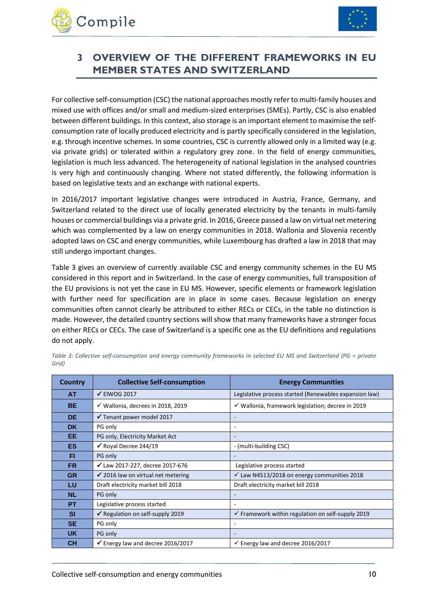



# <span id="page-10-0"></span>**3 OVERVIEW OF THE DIFFERENT FRAMEWORKS IN EU MEMBER STATES AND SWITZERLAND**

For collective self-consumption (CSC) the national approaches mostly refer to multi-family houses and mixed use with offices and/or small and medium-sized enterprises (SMEs). Partly, CSC is also enabled between different buildings. In this context, also storage is an important element to maximise the selfconsumption rate of locally produced electricity and is partly specifically considered in the legislation, e.g. through incentive schemes. In some countries, CSC is currently allowed only in a limited way (e.g. via private grids) or tolerated within a regulatory grey zone. In the field of energy communities, legislation is much less advanced. The heterogeneity of national legislation in the analysed countries is very high and continuously changing. Where not stated differently, the following information is based on legislative texts and an exchange with national experts.

In 2016/2017 important legislative changes were introduced in Austria, France, Germany, and Switzerland related to the direct use of locally generated electricity by the tenants in multi-family houses or commercial buildings via a private grid. In 2016, Greece passed a law on virtual net metering which was complemented by a law on energy communities in 2018. Wallonia and Slovenia recently adopted laws on CSC and energy communities, while Luxembourg has drafted a law in 2018 that may still undergo important changes.

[Table 3](#page-10-1) gives an overview of currently available CSC and energy community schemes in the EU MS considered in this report and in Switzerland. In the case of energy communities, full transposition of the EU provisions is not yet the case in EU MS. However, specific elements or framework legislation with further need for specification are in place in some cases. Because legislation on energy communities often cannot clearly be attributed to either RECs or CECs, in the table no distinction is made. However, the detailed country sections will show that many frameworks have a stronger focus on either RECs or CECs. The case of Switzerland is a specific one as the EU definitions and regulations do not apply.

| <b>Country</b> | <b>Collective Self-consumption</b>            | <b>Energy Communities</b>                                    |  |  |  |  |
|----------------|-----------------------------------------------|--------------------------------------------------------------|--|--|--|--|
| AT             | $\checkmark$ ElWOG 2017                       | Legislative process started (Renewables expansion law)       |  |  |  |  |
| <b>BE</b>      | √ Wallonia, decrees in 2018, 2019             | $\checkmark$ Wallonia, framework legislation; decree in 2019 |  |  |  |  |
| <b>DE</b>      | ✔ Tenant power model 2017                     |                                                              |  |  |  |  |
| <b>DK</b>      | PG only                                       | ۰                                                            |  |  |  |  |
| EE             | PG only, Electricity Market Act               |                                                              |  |  |  |  |
| <b>ES</b>      | $\checkmark$ Royal Decree 244/19              | - (multi-building CSC)                                       |  |  |  |  |
| FI             | PG only                                       |                                                              |  |  |  |  |
| <b>FR</b>      | $\checkmark$ Law 2017-227, decree 2017-676    | Legislative process started                                  |  |  |  |  |
| <b>GR</b>      | $\checkmark$ 2016 law on virtual net metering | √ Law N4513/2018 on energy communities 2018                  |  |  |  |  |
| LU             | Draft electricity market bill 2018            | Draft electricity market bill 2018                           |  |  |  |  |
| <b>NL</b>      | PG only                                       |                                                              |  |  |  |  |
| <b>PT</b>      | Legislative process started                   | ٠                                                            |  |  |  |  |
| <b>SI</b>      | $\checkmark$ Regulation on self-supply 2019   | $\checkmark$ Framework within regulation on self-supply 2019 |  |  |  |  |
| <b>SE</b>      | PG only                                       |                                                              |  |  |  |  |
| <b>UK</b>      | PG only                                       |                                                              |  |  |  |  |
| <b>CH</b>      | $\checkmark$ Energy law and decree 2016/2017  | $\checkmark$ Energy law and decree 2016/2017                 |  |  |  |  |

<span id="page-10-1"></span>*Table 3: Collective self-consumption and energy community frameworks in selected EU MS and Switzerland (PG = private Grid)*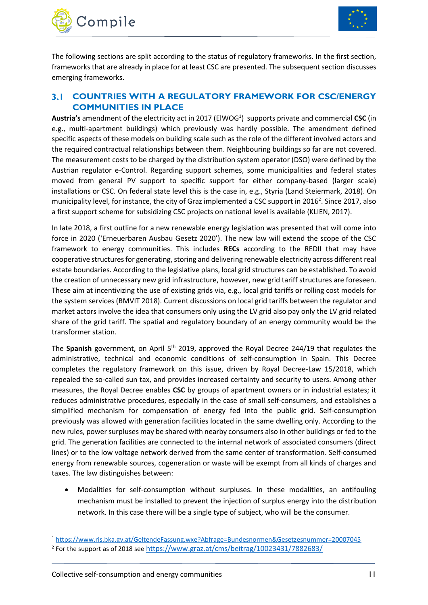



The following sections are split according to the status of regulatory frameworks. In the first section, frameworks that are already in place for at least CSC are presented. The subsequent section discusses emerging frameworks.

#### <span id="page-11-0"></span>**COUNTRIES WITH A REGULATORY FRAMEWORK FOR CSC/ENERGY**   $3.1$ **COMMUNITIES IN PLACE**

Austria's amendment of the electricity act in 2017 (ElWOG<sup>1</sup>) supports private and commercial CSC (in e.g., multi-apartment buildings) which previously was hardly possible. The amendment defined specific aspects of these models on building scale such as the role of the different involved actors and the required contractual relationships between them. Neighbouring buildings so far are not covered. The measurement costs to be charged by the distribution system operator (DSO) were defined by the Austrian regulator e-Control. Regarding support schemes, some municipalities and federal states moved from general PV support to specific support for either company-based (larger scale) installations or CSC. On federal state level this is the case in, e.g., Styria (Land Steiermark, 2018). On municipality level, for instance, the city of Graz implemented a CSC support in 2016<sup>2</sup>. Since 2017, also a first support scheme for subsidizing CSC projects on national level is available (KLIEN, 2017).

In late 2018, a first outline for a new renewable energy legislation was presented that will come into force in 2020 ('Erneuerbaren Ausbau Gesetz 2020'). The new law will extend the scope of the CSC framework to energy communities. This includes **RECs** according to the REDII that may have cooperative structures for generating, storing and delivering renewable electricity across different real estate boundaries. According to the legislative plans, local grid structures can be established. To avoid the creation of unnecessary new grid infrastructure, however, new grid tariff structures are foreseen. These aim at incentivizing the use of existing grids via, e.g., local grid tariffs or rolling cost models for the system services (BMVIT 2018). Current discussions on local grid tariffs between the regulator and market actors involve the idea that consumers only using the LV grid also pay only the LV grid related share of the grid tariff. The spatial and regulatory boundary of an energy community would be the transformer station.

The Spanish government, on April 5<sup>th</sup> 2019, approved the Royal Decree 244/19 that regulates the administrative, technical and economic conditions of self-consumption in Spain. This Decree completes the regulatory framework on this issue, driven by Royal Decree-Law 15/2018, which repealed the so-called sun tax, and provides increased certainty and security to users. Among other measures, the Royal Decree enables **CSC** by groups of apartment owners or in industrial estates; it reduces administrative procedures, especially in the case of small self-consumers, and establishes a simplified mechanism for compensation of energy fed into the public grid. Self-consumption previously was allowed with generation facilities located in the same dwelling only. According to the new rules, power surpluses may be shared with nearby consumers also in other buildings or fed to the grid. The generation facilities are connected to the internal network of associated consumers (direct lines) or to the low voltage network derived from the same center of transformation. Self-consumed energy from renewable sources, cogeneration or waste will be exempt from all kinds of charges and taxes. The law distinguishes between:

• Modalities for self-consumption without surpluses. In these modalities, an antifouling mechanism must be installed to prevent the injection of surplus energy into the distribution network. In this case there will be a single type of subject, who will be the consumer.

1

<sup>1</sup> <https://www.ris.bka.gv.at/GeltendeFassung.wxe?Abfrage=Bundesnormen&Gesetzesnummer=20007045> <sup>2</sup> For the support as of 2018 see <u><https://www.graz.at/cms/beitrag/10023431/7882683/></u>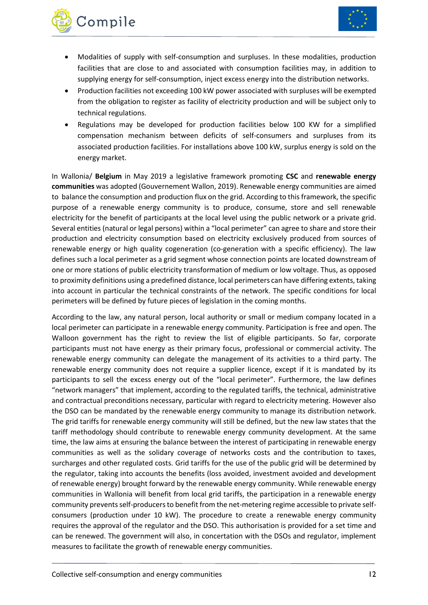



- Modalities of supply with self-consumption and surpluses. In these modalities, production facilities that are close to and associated with consumption facilities may, in addition to supplying energy for self-consumption, inject excess energy into the distribution networks.
- Production facilities not exceeding 100 kW power associated with surpluses will be exempted from the obligation to register as facility of electricity production and will be subject only to technical regulations.
- Regulations may be developed for production facilities below 100 KW for a simplified compensation mechanism between deficits of self-consumers and surpluses from its associated production facilities. For installations above 100 kW, surplus energy is sold on the energy market.

In Wallonia/ **Belgium** in May 2019 a legislative framework promoting **CSC** and **renewable energy communities** was adopted (Gouvernement Wallon, 2019). Renewable energy communities are aimed to balance the consumption and production flux on the grid. According to this framework, the specific purpose of a renewable energy community is to produce, consume, store and sell renewable electricity for the benefit of participants at the local level using the public network or a private grid. Several entities (natural or legal persons) within a "local perimeter" can agree to share and store their production and electricity consumption based on electricity exclusively produced from sources of renewable energy or high quality cogeneration (co-generation with a specific efficiency). The law defines such a local perimeter as a grid segment whose connection points are located downstream of one or more stations of public electricity transformation of medium or low voltage. Thus, as opposed to proximity definitions using a predefined distance, local perimeters can have differing extents, taking into account in particular the technical constraints of the network. The specific conditions for local perimeters will be defined by future pieces of legislation in the coming months.

According to the law, any natural person, local authority or small or medium company located in a local perimeter can participate in a renewable energy community. Participation is free and open. The Walloon government has the right to review the list of eligible participants. So far, corporate participants must not have energy as their primary focus, professional or commercial activity. The renewable energy community can delegate the management of its activities to a third party. The renewable energy community does not require a supplier licence, except if it is mandated by its participants to sell the excess energy out of the "local perimeter". Furthermore, the law defines "network managers" that implement, according to the regulated tariffs, the technical, administrative and contractual preconditions necessary, particular with regard to electricity metering. However also the DSO can be mandated by the renewable energy community to manage its distribution network. The grid tariffs for renewable energy community will still be defined, but the new law states that the tariff methodology should contribute to renewable energy community development. At the same time, the law aims at ensuring the balance between the interest of participating in renewable energy communities as well as the solidary coverage of networks costs and the contribution to taxes, surcharges and other regulated costs. Grid tariffs for the use of the public grid will be determined by the regulator, taking into accounts the benefits (loss avoided, investment avoided and development of renewable energy) brought forward by the renewable energy community. While renewable energy communities in Wallonia will benefit from local grid tariffs, the participation in a renewable energy community prevents self-producers to benefit from the net-metering regime accessible to private selfconsumers (production under 10 kW). The procedure to create a renewable energy community requires the approval of the regulator and the DSO. This authorisation is provided for a set time and can be renewed. The government will also, in concertation with the DSOs and regulator, implement measures to facilitate the growth of renewable energy communities.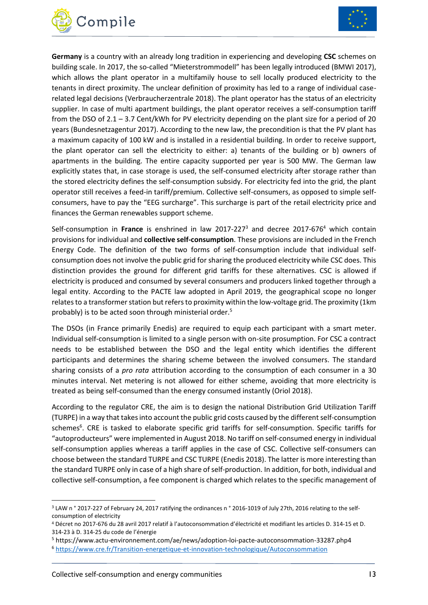



**Germany** is a country with an already long tradition in experiencing and developing **CSC** schemes on building scale. In 2017, the so-called "Mieterstrommodell" has been legally introduced (BMWI 2017), which allows the plant operator in a multifamily house to sell locally produced electricity to the tenants in direct proximity. The unclear definition of proximity has led to a range of individual caserelated legal decisions (Verbraucherzentrale 2018). The plant operator has the status of an electricity supplier. In case of multi apartment buildings, the plant operator receives a self-consumption tariff from the DSO of 2.1 – 3.7 Cent/kWh for PV electricity depending on the plant size for a period of 20 years (Bundesnetzagentur 2017). According to the new law, the precondition is that the PV plant has a maximum capacity of 100 kW and is installed in a residential building. In order to receive support, the plant operator can sell the electricity to either: a) tenants of the building or b) owners of apartments in the building. The entire capacity supported per year is 500 MW. The German law explicitly states that, in case storage is used, the self-consumed electricity after storage rather than the stored electricity defines the self-consumption subsidy. For electricity fed into the grid, the plant operator still receives a feed-in tariff/premium. Collective self-consumers, as opposed to simple selfconsumers, have to pay the "EEG surcharge". This surcharge is part of the retail electricity price and finances the German renewables support scheme.

Self-consumption in **France** is enshrined in law 2017-227<sup>3</sup> and decree 2017-676<sup>4</sup> which contain provisions for individual and **collective self-consumption**. These provisions are included in the French Energy Code. The definition of the two forms of self-consumption include that individual selfconsumption does not involve the public grid for sharing the produced electricity while CSC does. This distinction provides the ground for different grid tariffs for these alternatives. CSC is allowed if electricity is produced and consumed by several consumers and producers linked together through a legal entity. According to the PACTE law adopted in April 2019, the geographical scope no longer relates to a transformer station but refers to proximity within the low-voltage grid. The proximity (1km probably) is to be acted soon through ministerial order.<sup>5</sup>

The DSOs (in France primarily Enedis) are required to equip each participant with a smart meter. Individual self-consumption is limited to a single person with on-site prosumption. For CSC a contract needs to be established between the DSO and the legal entity which identifies the different participants and determines the sharing scheme between the involved consumers. The standard sharing consists of a *pro rata* attribution according to the consumption of each consumer in a 30 minutes interval. Net metering is not allowed for either scheme, avoiding that more electricity is treated as being self-consumed than the energy consumed instantly (Oriol 2018).

According to the regulator CRE, the aim is to design the national Distribution Grid Utilization Tariff (TURPE) in a way that takes into account the public grid costs caused by the different self-consumption schemes<sup>6</sup>. CRE is tasked to elaborate specific grid tariffs for self-consumption. Specific tariffs for "autoproducteurs" were implemented in August 2018. No tariff on self-consumed energy in individual self-consumption applies whereas a tariff applies in the case of CSC. Collective self-consumers can choose between the standard TURPE and CSC TURPE (Enedis 2018). The latter is more interesting than the standard TURPE only in case of a high share of self-production. In addition, for both, individual and collective self-consumption, a fee component is charged which relates to the specific management of

1

<sup>3</sup> LAW n ° 2017-227 of February 24, 2017 ratifying the ordinances n ° 2016-1019 of July 27th, 2016 relating to the selfconsumption of electricity

<sup>4</sup> Décret no 2017-676 du 28 avril 2017 relatif à l'autoconsommation d'électricité et modifiant les articles D. 314-15 et D. 314-23 à D. 314-25 du code de l'énergie

<sup>5</sup> https://www.actu-environnement.com/ae/news/adoption-loi-pacte-autoconsommation-33287.php4 <sup>6</sup> <https://www.cre.fr/Transition-energetique-et-innovation-technologique/Autoconsommation>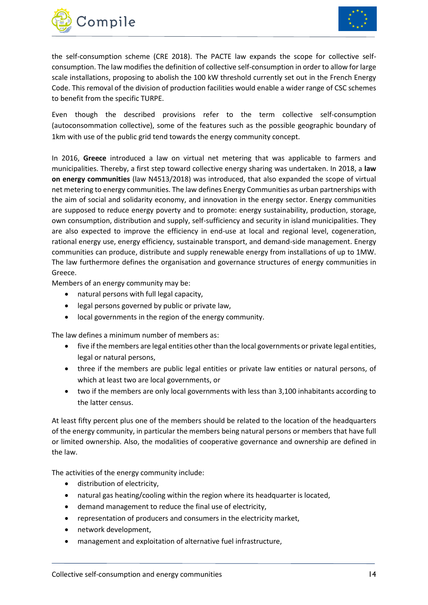



the self-consumption scheme (CRE 2018). The PACTE law expands the scope for collective selfconsumption. The law modifies the definition of collective self-consumption in order to allow for large scale installations, proposing to abolish the 100 kW threshold currently set out in the French Energy Code. This removal of the division of production facilities would enable a wider range of CSC schemes to benefit from the specific TURPE.

Even though the described provisions refer to the term collective self-consumption (autoconsommation collective), some of the features such as the possible geographic boundary of 1km with use of the public grid tend towards the energy community concept.

In 2016, **Greece** introduced a law on virtual net metering that was applicable to farmers and municipalities. Thereby, a first step toward collective energy sharing was undertaken. In 2018, a **law on energy communities** (law N4513/2018) was introduced, that also expanded the scope of virtual net metering to energy communities. The law defines Energy Communities as urban partnerships with the aim of social and solidarity economy, and innovation in the energy sector. Energy communities are supposed to reduce energy poverty and to promote: energy sustainability, production, storage, own consumption, distribution and supply, self-sufficiency and security in island municipalities. They are also expected to improve the efficiency in end-use at local and regional level, cogeneration, rational energy use, energy efficiency, sustainable transport, and demand-side management. Energy communities can produce, distribute and supply renewable energy from installations of up to 1MW. The law furthermore defines the organisation and governance structures of energy communities in Greece.

Members of an energy community may be:

- natural persons with full legal capacity,
- legal persons governed by public or private law,
- local governments in the region of the energy community.

The law defines a minimum number of members as:

- five if the members are legal entities other than the local governments or private legal entities, legal or natural persons,
- three if the members are public legal entities or private law entities or natural persons, of which at least two are local governments, or
- two if the members are only local governments with less than 3,100 inhabitants according to the latter census.

At least fifty percent plus one of the members should be related to the location of the headquarters of the energy community, in particular the members being natural persons or members that have full or limited ownership. Also, the modalities of cooperative governance and ownership are defined in the law.

The activities of the energy community include:

- distribution of electricity,
- natural gas heating/cooling within the region where its headquarter is located,
- demand management to reduce the final use of electricity,
- representation of producers and consumers in the electricity market,
- network development,
- management and exploitation of alternative fuel infrastructure,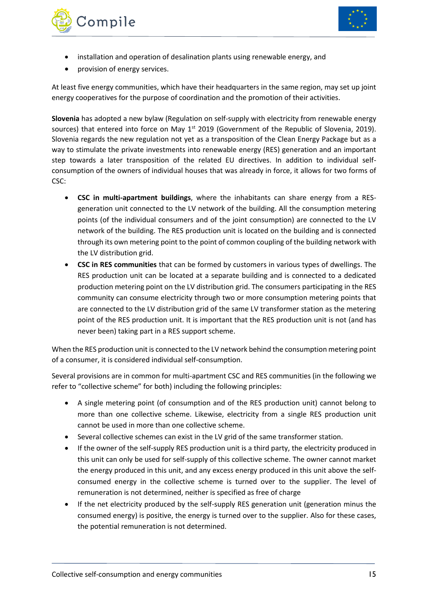



- installation and operation of desalination plants using renewable energy, and
- provision of energy services.

At least five energy communities, which have their headquarters in the same region, may set up joint energy cooperatives for the purpose of coordination and the promotion of their activities.

**Slovenia** has adopted a new bylaw (Regulation on self-supply with electricity from renewable energy sources) that entered into force on May 1<sup>st</sup> 2019 (Government of the Republic of Slovenia, 2019). Slovenia regards the new regulation not yet as a transposition of the Clean Energy Package but as a way to stimulate the private investments into renewable energy (RES) generation and an important step towards a later transposition of the related EU directives. In addition to individual selfconsumption of the owners of individual houses that was already in force, it allows for two forms of CSC:

- **CSC in multi-apartment buildings**, where the inhabitants can share energy from a RESgeneration unit connected to the LV network of the building. All the consumption metering points (of the individual consumers and of the joint consumption) are connected to the LV network of the building. The RES production unit is located on the building and is connected through its own metering point to the point of common coupling of the building network with the LV distribution grid.
- **CSC in RES communities** that can be formed by customers in various types of dwellings. The RES production unit can be located at a separate building and is connected to a dedicated production metering point on the LV distribution grid. The consumers participating in the RES community can consume electricity through two or more consumption metering points that are connected to the LV distribution grid of the same LV transformer station as the metering point of the RES production unit. It is important that the RES production unit is not (and has never been) taking part in a RES support scheme.

When the RES production unit is connected to the LV network behind the consumption metering point of a consumer, it is considered individual self-consumption.

Several provisions are in common for multi-apartment CSC and RES communities (in the following we refer to "collective scheme" for both) including the following principles:

- A single metering point (of consumption and of the RES production unit) cannot belong to more than one collective scheme. Likewise, electricity from a single RES production unit cannot be used in more than one collective scheme.
- Several collective schemes can exist in the LV grid of the same transformer station.
- If the owner of the self-supply RES production unit is a third party, the electricity produced in this unit can only be used for self-supply of this collective scheme. The owner cannot market the energy produced in this unit, and any excess energy produced in this unit above the selfconsumed energy in the collective scheme is turned over to the supplier. The level of remuneration is not determined, neither is specified as free of charge
- If the net electricity produced by the self-supply RES generation unit (generation minus the consumed energy) is positive, the energy is turned over to the supplier. Also for these cases, the potential remuneration is not determined.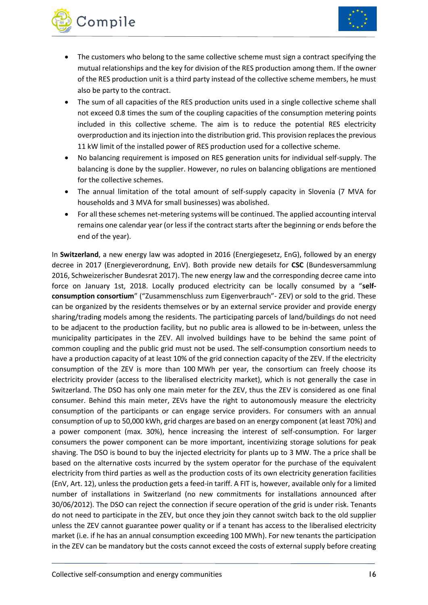

- Compile
	- The customers who belong to the same collective scheme must sign a contract specifying the mutual relationships and the key for division of the RES production among them. If the owner of the RES production unit is a third party instead of the collective scheme members, he must also be party to the contract.
	- The sum of all capacities of the RES production units used in a single collective scheme shall not exceed 0.8 times the sum of the coupling capacities of the consumption metering points included in this collective scheme. The aim is to reduce the potential RES electricity overproduction and its injection into the distribution grid. This provision replaces the previous 11 kW limit of the installed power of RES production used for a collective scheme.
	- No balancing requirement is imposed on RES generation units for individual self-supply. The balancing is done by the supplier. However, no rules on balancing obligations are mentioned for the collective schemes.
	- The annual limitation of the total amount of self-supply capacity in Slovenia (7 MVA for households and 3 MVA for small businesses) was abolished.
	- For all these schemes net-metering systems will be continued. The applied accounting interval remains one calendar year (or less if the contract starts after the beginning or ends before the end of the year).

In **Switzerland**, a new energy law was adopted in 2016 (Energiegesetz, EnG), followed by an energy decree in 2017 (Energieverordnung, EnV). Both provide new details for **CSC** (Bundesversammlung 2016, Schweizerischer Bundesrat 2017). The new energy law and the corresponding decree came into force on January 1st, 2018. Locally produced electricity can be locally consumed by a "**selfconsumption consortium**" ("Zusammenschluss zum Eigenverbrauch"- ZEV) or sold to the grid. These can be organized by the residents themselves or by an external service provider and provide energy sharing/trading models among the residents. The participating parcels of land/buildings do not need to be adjacent to the production facility, but no public area is allowed to be in-between, unless the municipality participates in the ZEV. All involved buildings have to be behind the same point of common coupling and the public grid must not be used. The self-consumption consortium needs to have a production capacity of at least 10% of the grid connection capacity of the ZEV. If the electricity consumption of the ZEV is more than 100 MWh per year, the consortium can freely choose its electricity provider (access to the liberalised electricity market), which is not generally the case in Switzerland. The DSO has only one main meter for the ZEV, thus the ZEV is considered as one final consumer. Behind this main meter, ZEVs have the right to autonomously measure the electricity consumption of the participants or can engage service providers. For consumers with an annual consumption of up to 50,000 kWh, grid charges are based on an energy component (at least 70%) and a power component (max. 30%), hence increasing the interest of self-consumption. For larger consumers the power component can be more important, incentivizing storage solutions for peak shaving. The DSO is bound to buy the injected electricity for plants up to 3 MW. The a price shall be based on the alternative costs incurred by the system operator for the purchase of the equivalent electricity from third parties as well as the production costs of its own electricity generation facilities (EnV, Art. 12), unless the production gets a feed-in tariff. A FIT is, however, available only for a limited number of installations in Switzerland (no new commitments for installations announced after 30/06/2012). The DSO can reject the connection if secure operation of the grid is under risk. Tenants do not need to participate in the ZEV, but once they join they cannot switch back to the old supplier unless the ZEV cannot guarantee power quality or if a tenant has access to the liberalised electricity market (i.e. if he has an annual consumption exceeding 100 MWh). For new tenants the participation in the ZEV can be mandatory but the costs cannot exceed the costs of external supply before creating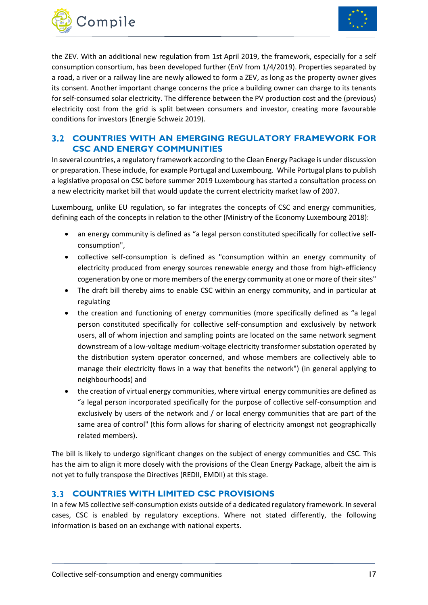



the ZEV. With an additional new regulation from 1st April 2019, the framework, especially for a self consumption consortium, has been developed further (EnV from 1/4/2019). Properties separated by a road, a river or a railway line are newly allowed to form a ZEV, as long as the property owner gives its consent. Another important change concerns the price a building owner can charge to its tenants for self-consumed solar electricity. The difference between the PV production cost and the (previous) electricity cost from the grid is split between consumers and investor, creating more favourable conditions for investors (Energie Schweiz 2019).

#### <span id="page-17-0"></span>**COUNTRIES WITH AN EMERGING REGULATORY FRAMEWORK FOR CSC AND ENERGY COMMUNITIES**

In several countries, a regulatory framework according to the Clean Energy Package is under discussion or preparation. These include, for example Portugal and Luxembourg. While Portugal plans to publish a legislative proposal on CSC before summer 2019 Luxembourg has started a consultation process on a new electricity market bill that would update the current electricity market law of 2007.

Luxembourg, unlike EU regulation, so far integrates the concepts of CSC and energy communities, defining each of the concepts in relation to the other (Ministry of the Economy Luxembourg 2018):

- an energy community is defined as "a legal person constituted specifically for collective selfconsumption",
- collective self-consumption is defined as "consumption within an energy community of electricity produced from energy sources renewable energy and those from high-efficiency cogeneration by one or more members of the energy community at one or more of their sites"
- The draft bill thereby aims to enable CSC within an energy community, and in particular at regulating
- the creation and functioning of energy communities (more specifically defined as "a legal person constituted specifically for collective self-consumption and exclusively by network users, all of whom injection and sampling points are located on the same network segment downstream of a low-voltage medium-voltage electricity transformer substation operated by the distribution system operator concerned, and whose members are collectively able to manage their electricity flows in a way that benefits the network") (in general applying to neighbourhoods) and
- the creation of virtual energy communities, where virtual energy communities are defined as "a legal person incorporated specifically for the purpose of collective self-consumption and exclusively by users of the network and / or local energy communities that are part of the same area of control" (this form allows for sharing of electricity amongst not geographically related members).

The bill is likely to undergo significant changes on the subject of energy communities and CSC. This has the aim to align it more closely with the provisions of the Clean Energy Package, albeit the aim is not yet to fully transpose the Directives (REDII, EMDII) at this stage.

#### <span id="page-17-1"></span>**COUNTRIES WITH LIMITED CSC PROVISIONS**

In a few MS collective self-consumption exists outside of a dedicated regulatory framework. In several cases, CSC is enabled by regulatory exceptions. Where not stated differently, the following information is based on an exchange with national experts.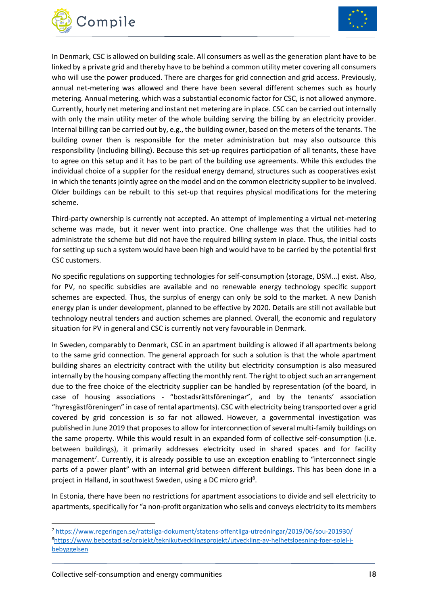



In Denmark, CSC is allowed on building scale. All consumers as well as the generation plant have to be linked by a private grid and thereby have to be behind a common utility meter covering all consumers who will use the power produced. There are charges for grid connection and grid access. Previously, annual net-metering was allowed and there have been several different schemes such as hourly metering. Annual metering, which was a substantial economic factor for CSC, is not allowed anymore. Currently, hourly net metering and instant net metering are in place. CSC can be carried out internally with only the main utility meter of the whole building serving the billing by an electricity provider. Internal billing can be carried out by, e.g., the building owner, based on the meters of the tenants. The building owner then is responsible for the meter administration but may also outsource this responsibility (including billing). Because this set-up requires participation of all tenants, these have to agree on this setup and it has to be part of the building use agreements. While this excludes the individual choice of a supplier for the residual energy demand, structures such as cooperatives exist in which the tenants jointly agree on the model and on the common electricity supplier to be involved. Older buildings can be rebuilt to this set-up that requires physical modifications for the metering scheme.

Third-party ownership is currently not accepted. An attempt of implementing a virtual net-metering scheme was made, but it never went into practice. One challenge was that the utilities had to administrate the scheme but did not have the required billing system in place. Thus, the initial costs for setting up such a system would have been high and would have to be carried by the potential first CSC customers.

No specific regulations on supporting technologies for self-consumption (storage, DSM…) exist. Also, for PV, no specific subsidies are available and no renewable energy technology specific support schemes are expected. Thus, the surplus of energy can only be sold to the market. A new Danish energy plan is under development, planned to be effective by 2020. Details are still not available but technology neutral tenders and auction schemes are planned. Overall, the economic and regulatory situation for PV in general and CSC is currently not very favourable in Denmark.

In Sweden, comparably to Denmark, CSC in an apartment building is allowed if all apartments belong to the same grid connection. The general approach for such a solution is that the whole apartment building shares an electricity contract with the utility but electricity consumption is also measured internally by the housing company affecting the monthly rent. The right to object such an arrangement due to the free choice of the electricity supplier can be handled by representation (of the board, in case of housing associations - "bostadsrättsföreningar", and by the tenants' association "hyresgästföreningen" in case of rental apartments). CSC with electricity being transported over a grid covered by grid concession is so far not allowed. However, a governmental investigation was published in June 2019 that proposes to allow for interconnection of several multi-family buildings on the same property. While this would result in an expanded form of collective self-consumption (i.e. between buildings), it primarily addresses electricity used in shared spaces and for facility management<sup>7</sup>. Currently, it is already possible to use an exception enabling to "interconnect single parts of a power plant" with an internal grid between different buildings. This has been done in a project in Halland, in southwest Sweden, using a DC micro grid<sup>8</sup>.

In Estonia, there have been no restrictions for apartment associations to divide and sell electricity to apartments, specifically for "a non-profit organization who sells and conveys electricity to its members

**.** 

<sup>7</sup> <https://www.regeringen.se/rattsliga-dokument/statens-offentliga-utredningar/2019/06/sou-201930/> 8[https://www.bebostad.se/projekt/teknikutvecklingsprojekt/utveckling-av-helhetsloesning-foer-solel-i](https://www.bebostad.se/projekt/teknikutvecklingsprojekt/utveckling-av-helhetsloesning-foer-solel-i-bebyggelsen)[bebyggelsen](https://www.bebostad.se/projekt/teknikutvecklingsprojekt/utveckling-av-helhetsloesning-foer-solel-i-bebyggelsen)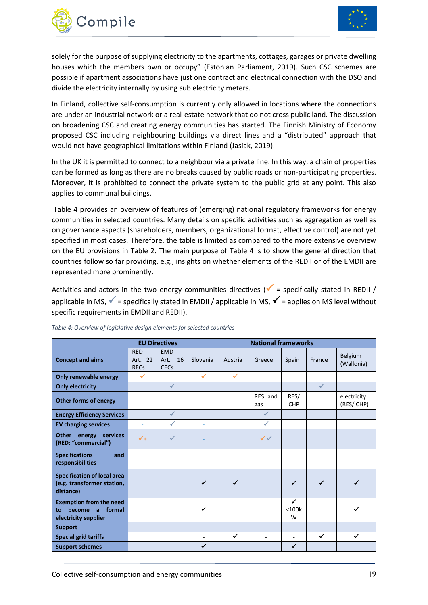



solely for the purpose of supplying electricity to the apartments, cottages, garages or private dwelling houses which the members own or occupy" (Estonian Parliament, 2019). Such CSC schemes are possible if apartment associations have just one contract and electrical connection with the DSO and divide the electricity internally by using sub electricity meters.

In Finland, collective self-consumption is currently only allowed in locations where the connections are under an industrial network or a real-estate network that do not cross public land. The discussion on broadening CSC and creating energy communities has started. The Finnish Ministry of Economy proposed CSC including neighbouring buildings via direct lines and a "distributed" approach that would not have geographical limitations within Finland (Jasiak, 2019).

In the UK it is permitted to connect to a neighbour via a private line. In this way, a chain of properties can be formed as long as there are no breaks caused by public roads or non-participating properties. Moreover, it is prohibited to connect the private system to the public grid at any point. This also applies to communal buildings.

[Table 4](#page-19-0) provides an overview of features of (emerging) national regulatory frameworks for energy communities in selected countries. Many details on specific activities such as aggregation as well as on governance aspects (shareholders, members, organizational format, effective control) are not yet specified in most cases. Therefore, the table is limited as compared to the more extensive overview on the EU provisions in [Table 2.](#page-9-0) The main purpose of [Table 4](#page-19-0) is to show the general direction that countries follow so far providing, e.g., insights on whether elements of the REDII or of the EMDII are represented more prominently.

Activities and actors in the two energy communities directives ( $\checkmark$  = specifically stated in REDII / applicable in MS,  $\checkmark$  = specifically stated in EMDII / applicable in MS,  $\checkmark$  = applies on MS level without specific requirements in EMDII and REDII).

|                                                                                       |                                      | <b>EU Directives</b>                               | <b>National frameworks</b> |              |                          |                          |              |                          |
|---------------------------------------------------------------------------------------|--------------------------------------|----------------------------------------------------|----------------------------|--------------|--------------------------|--------------------------|--------------|--------------------------|
| <b>Concept and aims</b>                                                               | <b>RED</b><br>Art. 22<br><b>RECs</b> | <b>EMD</b><br>Art.<br>16<br><b>CEC<sub>s</sub></b> | Slovenia                   | Austria      | Greece                   | Spain                    | France       | Belgium<br>(Wallonia)    |
| Only renewable energy                                                                 | ✓                                    |                                                    | $\checkmark$               | $\checkmark$ |                          |                          |              |                          |
| <b>Only electricity</b>                                                               |                                      | $\checkmark$                                       |                            |              |                          |                          | $\checkmark$ |                          |
| <b>Other forms of energy</b>                                                          |                                      |                                                    |                            |              | RES and<br>gas           | RES/<br><b>CHP</b>       |              | electricity<br>(RES/CHP) |
| <b>Energy Efficiency Services</b>                                                     |                                      | $\checkmark$                                       |                            |              | $\checkmark$             |                          |              |                          |
| <b>EV charging services</b>                                                           | ٠                                    | ✓                                                  | ٠                          |              | $\checkmark$             |                          |              |                          |
| <b>Other</b><br>energy services<br>(RED: "commercial")                                | $\sqrt{1}$                           | √                                                  |                            |              | $\checkmark$             |                          |              |                          |
| <b>Specifications</b><br>and<br>responsibilities                                      |                                      |                                                    |                            |              |                          |                          |              |                          |
| <b>Specification of local area</b><br>(e.g. transformer station,<br>distance)         |                                      |                                                    | $\checkmark$               | ✔            |                          | ✓                        | $\checkmark$ |                          |
| <b>Exemption from the need</b><br>formal<br>become<br>to<br>a<br>electricity supplier |                                      |                                                    | ✓                          |              |                          | ✓<br>$<$ 100 $k$<br>W    |              |                          |
| <b>Support</b>                                                                        |                                      |                                                    |                            |              |                          |                          |              |                          |
| <b>Special grid tariffs</b>                                                           |                                      |                                                    | $\overline{a}$             | ✓            | $\overline{\phantom{a}}$ | $\overline{\phantom{a}}$ | ✓            |                          |
| <b>Support schemes</b>                                                                |                                      |                                                    |                            |              |                          | ✔                        |              |                          |

<span id="page-19-0"></span>*Table 4: Overview of legislative design elements for selected countries*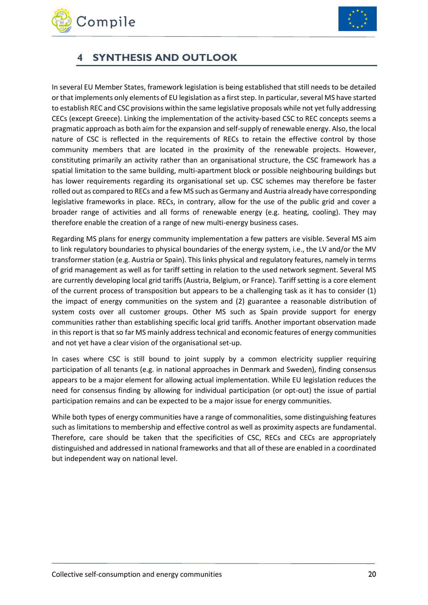



## <span id="page-20-0"></span>**4 SYNTHESIS AND OUTLOOK**

In several EU Member States, framework legislation is being established that still needs to be detailed orthat implements only elements of EU legislation as a first step. In particular, several MS have started to establish REC and CSC provisions within the same legislative proposals while not yet fully addressing CECs (except Greece). Linking the implementation of the activity-based CSC to REC concepts seems a pragmatic approach as both aim for the expansion and self-supply of renewable energy. Also, the local nature of CSC is reflected in the requirements of RECs to retain the effective control by those community members that are located in the proximity of the renewable projects. However, constituting primarily an activity rather than an organisational structure, the CSC framework has a spatial limitation to the same building, multi-apartment block or possible neighbouring buildings but has lower requirements regarding its organisational set up. CSC schemes may therefore be faster rolled out as compared to RECs and a few MS such as Germany and Austria already have corresponding legislative frameworks in place. RECs, in contrary, allow for the use of the public grid and cover a broader range of activities and all forms of renewable energy (e.g. heating, cooling). They may therefore enable the creation of a range of new multi-energy business cases.

Regarding MS plans for energy community implementation a few patters are visible. Several MS aim to link regulatory boundaries to physical boundaries of the energy system, i.e., the LV and/or the MV transformer station (e.g. Austria or Spain). This links physical and regulatory features, namely in terms of grid management as well as for tariff setting in relation to the used network segment. Several MS are currently developing local grid tariffs (Austria, Belgium, or France). Tariff setting is a core element of the current process of transposition but appears to be a challenging task as it has to consider (1) the impact of energy communities on the system and (2) guarantee a reasonable distribution of system costs over all customer groups. Other MS such as Spain provide support for energy communities rather than establishing specific local grid tariffs. Another important observation made in this report is that so far MS mainly address technical and economic features of energy communities and not yet have a clear vision of the organisational set-up.

In cases where CSC is still bound to joint supply by a common electricity supplier requiring participation of all tenants (e.g. in national approaches in Denmark and Sweden), finding consensus appears to be a major element for allowing actual implementation. While EU legislation reduces the need for consensus finding by allowing for individual participation (or opt-out) the issue of partial participation remains and can be expected to be a major issue for energy communities.

While both types of energy communities have a range of commonalities, some distinguishing features such as limitations to membership and effective control as well as proximity aspects are fundamental. Therefore, care should be taken that the specificities of CSC, RECs and CECs are appropriately distinguished and addressed in national frameworks and that all of these are enabled in a coordinated but independent way on national level.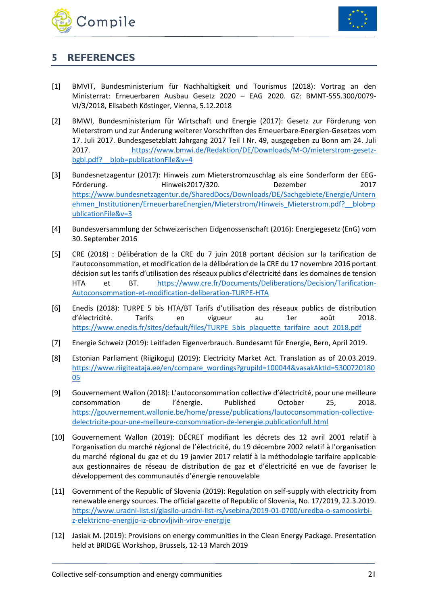



### <span id="page-21-0"></span>**5 REFERENCES**

- [1] BMVIT, Bundesministerium für Nachhaltigkeit und Tourismus (2018): Vortrag an den Ministerrat: Erneuerbaren Ausbau Gesetz 2020 – EAG 2020. GZ: BMNT-555.300/0079- VI/3/2018, Elisabeth Köstinger, Vienna, 5.12.2018
- [2] BMWI, Bundesministerium für Wirtschaft und Energie (2017): Gesetz zur Förderung von Mieterstrom und zur Änderung weiterer Vorschriften des Erneuerbare-Energien-Gesetzes vom 17. Juli 2017. Bundesgesetzblatt Jahrgang 2017 Teil I Nr. 49, ausgegeben zu Bonn am 24. Juli 2017. [https://www.bmwi.de/Redaktion/DE/Downloads/M-O/mieterstrom-gesetz](https://www.bmwi.de/Redaktion/DE/Downloads/M-O/mieterstrom-gesetz-bgbl.pdf?__blob=publicationFile&v=4)bgbl.pdf? blob=publicationFile&v=4
- [3] Bundesnetzagentur (2017): Hinweis zum Mieterstromzuschlag als eine Sonderform der EEG-Förderung. Hinweis2017/320. Dezember 2017 [https://www.bundesnetzagentur.de/SharedDocs/Downloads/DE/Sachgebiete/Energie/Untern](https://www.bundesnetzagentur.de/SharedDocs/Downloads/DE/Sachgebiete/Energie/Unternehmen_Institutionen/ErneuerbareEnergien/Mieterstrom/Hinweis_Mieterstrom.pdf?__blob=publicationFile&v=3) [ehmen\\_Institutionen/ErneuerbareEnergien/Mieterstrom/Hinweis\\_Mieterstrom.pdf?\\_\\_blob=p](https://www.bundesnetzagentur.de/SharedDocs/Downloads/DE/Sachgebiete/Energie/Unternehmen_Institutionen/ErneuerbareEnergien/Mieterstrom/Hinweis_Mieterstrom.pdf?__blob=publicationFile&v=3) [ublicationFile&v=3](https://www.bundesnetzagentur.de/SharedDocs/Downloads/DE/Sachgebiete/Energie/Unternehmen_Institutionen/ErneuerbareEnergien/Mieterstrom/Hinweis_Mieterstrom.pdf?__blob=publicationFile&v=3)
- [4] Bundesversammlung der Schweizerischen Eidgenossenschaft (2016): Energiegesetz (EnG) vom 30. September 2016
- [5] CRE (2018) : Délibération de la CRE du 7 juin 2018 portant décision sur la tarification de l'autoconsommation, et modification de la délibération de la CRE du 17 novembre 2016 portant décision sut les tarifs d'utilisation des réseaux publics d'électricité dans les domaines de tension HTA et BT. [https://www.cre.fr/Documents/Deliberations/Decision/Tarification-](https://www.cre.fr/Documents/Deliberations/Decision/Tarification-Autoconsommation-et-modification-deliberation-TURPE-HTA)[Autoconsommation-et-modification-deliberation-TURPE-HTA](https://www.cre.fr/Documents/Deliberations/Decision/Tarification-Autoconsommation-et-modification-deliberation-TURPE-HTA)
- [6] Enedis (2018): TURPE 5 bis HTA/BT Tarifs d'utilisation des réseaux publics de distribution d'électricité. Tarifs en vigueur au 1er août 2018. [https://www.enedis.fr/sites/default/files/TURPE\\_5bis\\_plaquette\\_tarifaire\\_aout\\_2018.pdf](https://www.enedis.fr/sites/default/files/TURPE_5bis_plaquette_tarifaire_aout_2018.pdf)
- [7] Energie Schweiz (2019): Leitfaden Eigenverbrauch. Bundesamt für Energie, Bern, April 2019.
- [8] Estonian Parliament (Riigikogu) (2019): Electricity Market Act. Translation as of 20.03.2019. [https://www.riigiteataja.ee/en/compare\\_wordings?grupiId=100044&vasakAktId=5300720180](https://www.riigiteataja.ee/en/compare_wordings?grupiId=100044&vasakAktId=530072018005) [05](https://www.riigiteataja.ee/en/compare_wordings?grupiId=100044&vasakAktId=530072018005)
- [9] Gouvernement Wallon (2018): L'autoconsommation collective d'électricité, pour une meilleure consommation de l'énergie. Published October 25, 2018. [https://gouvernement.wallonie.be/home/presse/publications/lautoconsommation-collective](https://gouvernement.wallonie.be/home/presse/publications/lautoconsommation-collective-delectricite-pour-une-meilleure-consommation-de-lenergie.publicationfull.html)[delectricite-pour-une-meilleure-consommation-de-lenergie.publicationfull.html](https://gouvernement.wallonie.be/home/presse/publications/lautoconsommation-collective-delectricite-pour-une-meilleure-consommation-de-lenergie.publicationfull.html)
- [10] Gouvernement Wallon (2019): DÉCRET modifiant les décrets des 12 avril 2001 relatif à l'organisation du marché régional de l'électricité, du 19 décembre 2002 relatif à l'organisation du marché régional du gaz et du 19 janvier 2017 relatif à la méthodologie tarifaire applicable aux gestionnaires de réseau de distribution de gaz et d'électricité en vue de favoriser le développement des communautés d'énergie renouvelable
- [11] Government of the Republic of Slovenia (2019): Regulation on self-supply with electricity from renewable energy sources. The official gazette of Republic of Slovenia, No. 17/2019, 22.3.2019. [https://www.uradni-list.si/glasilo-uradni-list-rs/vsebina/2019-01-0700/uredba-o-samooskrbi](https://www.uradni-list.si/glasilo-uradni-list-rs/vsebina/2019-01-0700/uredba-o-samooskrbi-z-elektricno-energijo-iz-obnovljivih-virov-energije)[z-elektricno-energijo-iz-obnovljivih-virov-energije](https://www.uradni-list.si/glasilo-uradni-list-rs/vsebina/2019-01-0700/uredba-o-samooskrbi-z-elektricno-energijo-iz-obnovljivih-virov-energije)
- [12] Jasiak M. (2019): Provisions on energy communities in the Clean Energy Package. Presentation held at BRIDGE Workshop, Brussels, 12-13 March 2019